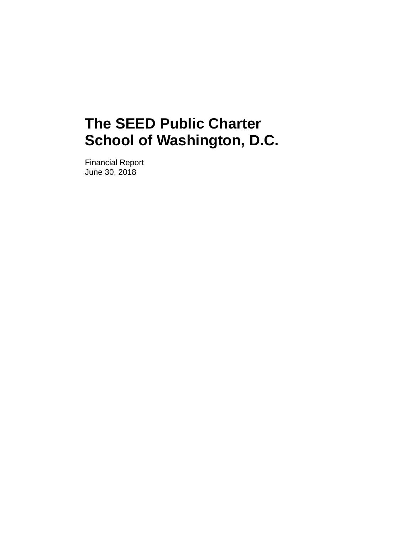Financial Report June 30, 2018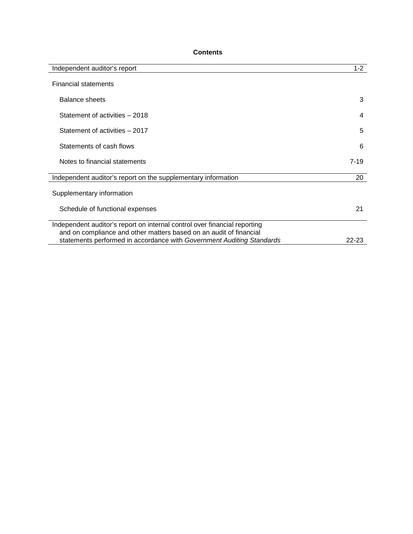# **Contents**

| $1 - 2$   |
|-----------|
|           |
| 3         |
| 4         |
| 5         |
| 6         |
| $7 - 19$  |
| 20        |
|           |
| 21        |
|           |
| $22 - 23$ |
|           |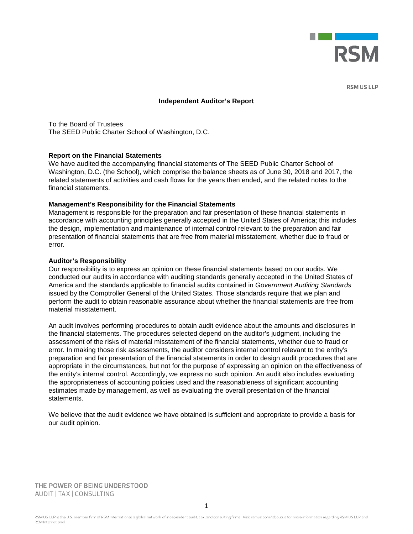

**RSM US LLP** 

#### **Independent Auditor's Report**

To the Board of Trustees The SEED Public Charter School of Washington, D.C.

#### **Report on the Financial Statements**

We have audited the accompanying financial statements of The SEED Public Charter School of Washington, D.C. (the School), which comprise the balance sheets as of June 30, 2018 and 2017, the related statements of activities and cash flows for the years then ended, and the related notes to the financial statements.

#### **Management's Responsibility for the Financial Statements**

Management is responsible for the preparation and fair presentation of these financial statements in accordance with accounting principles generally accepted in the United States of America; this includes the design, implementation and maintenance of internal control relevant to the preparation and fair presentation of financial statements that are free from material misstatement, whether due to fraud or error.

#### **Auditor's Responsibility**

Our responsibility is to express an opinion on these financial statements based on our audits. We conducted our audits in accordance with auditing standards generally accepted in the United States of America and the standards applicable to financial audits contained in *Government Auditing Standards* issued by the Comptroller General of the United States. Those standards require that we plan and perform the audit to obtain reasonable assurance about whether the financial statements are free from material misstatement.

An audit involves performing procedures to obtain audit evidence about the amounts and disclosures in the financial statements. The procedures selected depend on the auditor's judgment, including the assessment of the risks of material misstatement of the financial statements, whether due to fraud or error. In making those risk assessments, the auditor considers internal control relevant to the entity's preparation and fair presentation of the financial statements in order to design audit procedures that are appropriate in the circumstances, but not for the purpose of expressing an opinion on the effectiveness of the entity's internal control. Accordingly, we express no such opinion. An audit also includes evaluating the appropriateness of accounting policies used and the reasonableness of significant accounting estimates made by management, as well as evaluating the overall presentation of the financial statements.

We believe that the audit evidence we have obtained is sufficient and appropriate to provide a basis for our audit opinion.

THE POWER OF BEING UNDERSTOOD AUDIT | TAX | CONSULTING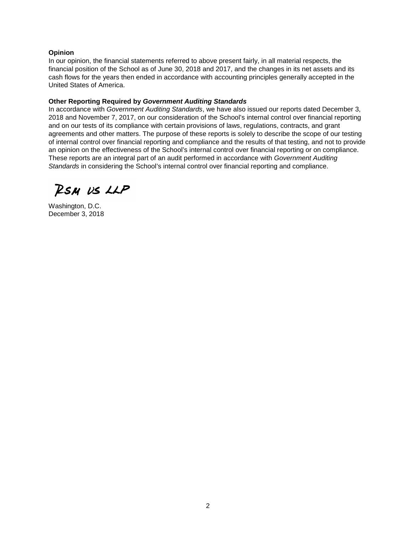#### **Opinion**

In our opinion, the financial statements referred to above present fairly, in all material respects, the financial position of the School as of June 30, 2018 and 2017, and the changes in its net assets and its cash flows for the years then ended in accordance with accounting principles generally accepted in the United States of America.

#### **Other Reporting Required by** *Government Auditing Standards*

In accordance with *Government Auditing Standards*, we have also issued our reports dated December 3, 2018 and November 7, 2017, on our consideration of the School's internal control over financial reporting and on our tests of its compliance with certain provisions of laws, regulations, contracts, and grant agreements and other matters. The purpose of these reports is solely to describe the scope of our testing of internal control over financial reporting and compliance and the results of that testing, and not to provide an opinion on the effectiveness of the School's internal control over financial reporting or on compliance. These reports are an integral part of an audit performed in accordance with *Government Auditing Standards* in considering the School's internal control over financial reporting and compliance.

RSM US LLP

Washington, D.C. December 3, 2018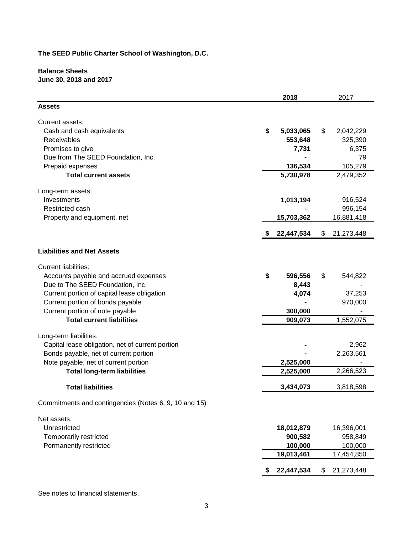# **Balance Sheets June 30, 2018 and 2017**

|                                                                     | 2018            |     | 2017       |
|---------------------------------------------------------------------|-----------------|-----|------------|
| <b>Assets</b>                                                       |                 |     |            |
| Current assets:                                                     |                 |     |            |
| Cash and cash equivalents                                           | \$<br>5,033,065 | \$  | 2,042,229  |
| Receivables                                                         | 553,648         |     | 325,390    |
| Promises to give                                                    | 7,731           |     | 6,375      |
| Due from The SEED Foundation, Inc.                                  |                 |     | 79         |
| Prepaid expenses                                                    | 136,534         |     | 105,279    |
| <b>Total current assets</b>                                         | 5,730,978       |     | 2,479,352  |
|                                                                     |                 |     |            |
| Long-term assets:                                                   |                 |     |            |
| Investments                                                         | 1,013,194       |     | 916,524    |
| Restricted cash                                                     |                 |     | 996,154    |
| Property and equipment, net                                         | 15,703,362      |     | 16,881,418 |
|                                                                     | 22,447,534      | \$. | 21,273,448 |
| <b>Liabilities and Net Assets</b>                                   |                 |     |            |
| <b>Current liabilities:</b>                                         |                 |     |            |
| Accounts payable and accrued expenses                               | \$<br>596,556   | \$  | 544,822    |
| Due to The SEED Foundation, Inc.                                    | 8,443           |     |            |
| Current portion of capital lease obligation                         | 4,074           |     | 37,253     |
| Current portion of bonds payable                                    |                 |     | 970,000    |
|                                                                     | 300,000         |     |            |
| Current portion of note payable<br><b>Total current liabilities</b> |                 |     |            |
|                                                                     | 909,073         |     | 1,552,075  |
| Long-term liabilities:                                              |                 |     |            |
| Capital lease obligation, net of current portion                    |                 |     | 2,962      |
| Bonds payable, net of current portion                               |                 |     | 2,263,561  |
| Note payable, net of current portion                                | 2,525,000       |     |            |
| <b>Total long-term liabilities</b>                                  | 2,525,000       |     | 2,266,523  |
| <b>Total liabilities</b>                                            | 3,434,073       |     | 3,818,598  |
|                                                                     |                 |     |            |
| Commitments and contingencies (Notes 6, 9, 10 and 15)               |                 |     |            |
| Net assets:                                                         |                 |     |            |
| Unrestricted                                                        | 18,012,879      |     | 16,396,001 |
| Temporarily restricted                                              | 900,582         |     | 958,849    |
| Permanently restricted                                              | 100,000         |     | 100,000    |
|                                                                     | 19,013,461      |     | 17,454,850 |
|                                                                     | 22,447,534      | S.  | 21,273,448 |

See notes to financial statements.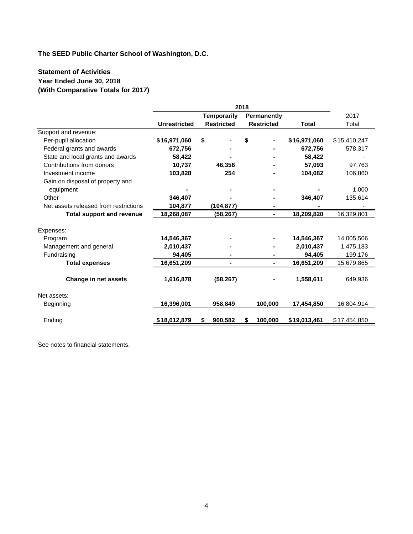# **Statement of Activities Year Ended June 30, 2018 (With Comparative Totals for 2017)**

|                                       |                     | <b>Temporarily</b> | <b>Permanently</b> |                     | 2017         |
|---------------------------------------|---------------------|--------------------|--------------------|---------------------|--------------|
|                                       | <b>Unrestricted</b> | <b>Restricted</b>  | <b>Restricted</b>  | <b>Total</b>        | Total        |
| Support and revenue:                  |                     |                    |                    |                     |              |
| Per-pupil allocation                  | \$16,971,060        | \$                 | S                  | \$16,971,060        | \$15,410,247 |
| Federal grants and awards             | 672,756             |                    |                    | 672,756             | 578,317      |
| State and local grants and awards     | 58,422              |                    |                    | 58.422              |              |
| Contributions from donors             | 10,737              | 46,356             |                    | 57,093              | 97,763       |
| Investment income                     | 103,828             | 254                |                    | 104,082             | 106,860      |
| Gain on disposal of property and      |                     |                    |                    |                     |              |
| equipment                             |                     |                    |                    |                     | 1,000        |
| Other                                 | 346,407             |                    |                    | 346,407             | 135,614      |
| Net assets released from restrictions | 104,877             | (104, 877)         |                    |                     |              |
| <b>Total support and revenue</b>      | 18,268,087          | (58, 267)          | ٠                  | 18,209,820          | 16,329,801   |
| Expenses:                             |                     |                    |                    |                     |              |
| Program                               | 14,546,367          |                    |                    | 14,546,367          | 14,005,506   |
| Management and general                | 2,010,437           |                    |                    | 2,010,437           | 1,475,183    |
| Fundraising                           | 94,405              |                    |                    | 94,405              | 199,176      |
| <b>Total expenses</b>                 | 16,651,209          | $\blacksquare$     | ٠                  | 16,651,209          | 15,679,865   |
| Change in net assets                  | 1,616,878           | (58, 267)          |                    | 1,558,611           | 649,936      |
| Net assets:                           |                     |                    |                    |                     |              |
| Beginning                             | 16,396,001          | 958,849            | 100,000            | 17,454,850          | 16,804,914   |
| Ending                                | \$18,012,879        | 900,582            | 100,000<br>S       | <u>\$19,013,461</u> | \$17,454,850 |

See notes to financial statements.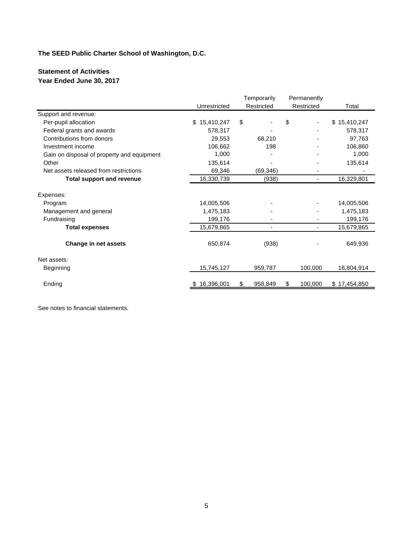# **Statement of Activities**

**Year Ended June 30, 2017**

|                                            |                  | Temporarily   | Permanently |         |              |
|--------------------------------------------|------------------|---------------|-------------|---------|--------------|
|                                            | Unrestricted     | Restricted    | Restricted  |         | Total        |
| Support and revenue:                       |                  |               |             |         |              |
| Per-pupil allocation                       | \$<br>15,410,247 | \$            | \$          |         | \$15,410,247 |
| Federal grants and awards                  | 578,317          |               |             |         | 578,317      |
| Contributions from donors                  | 29,553           | 68,210        |             |         | 97,763       |
| Investment income                          | 106,662          | 198           |             |         | 106,860      |
| Gain on disposal of property and equipment | 1,000            |               |             |         | 1,000        |
| Other                                      | 135,614          |               |             |         | 135,614      |
| Net assets released from restrictions      | 69,346           | (69, 346)     |             |         |              |
| <b>Total support and revenue</b>           | 16,330,739       | (938)         |             | ۰       | 16,329,801   |
| Expenses:                                  |                  |               |             |         |              |
| Program                                    | 14,005,506       |               |             |         | 14,005,506   |
| Management and general                     | 1,475,183        |               |             |         | 1,475,183    |
| Fundraising                                | 199,176          |               |             |         | 199,176      |
| <b>Total expenses</b>                      | 15,679,865       |               |             | ۰       | 15,679,865   |
| Change in net assets                       | 650,874          | (938)         |             |         | 649,936      |
| Net assets:                                |                  |               |             |         |              |
| Beginning                                  | 15,745,127       | 959,787       |             | 100,000 | 16,804,914   |
| Ending                                     | 16,396,001       | \$<br>958,849 | \$          | 100,000 | \$17,454,850 |

See notes to financial statements.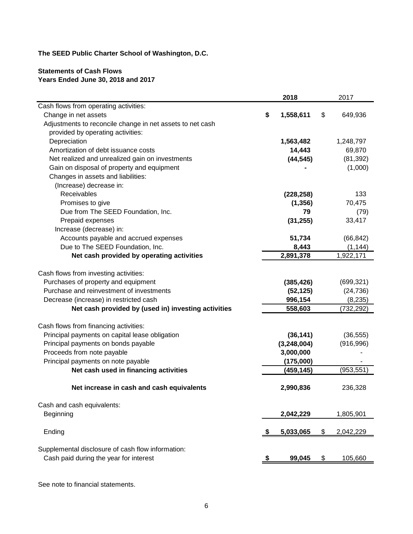# **Statements of Cash Flows Years Ended June 30, 2018 and 2017**

|                                                           | 2018            | 2017            |
|-----------------------------------------------------------|-----------------|-----------------|
| Cash flows from operating activities:                     |                 |                 |
| Change in net assets                                      | \$<br>1,558,611 | \$<br>649,936   |
| Adjustments to reconcile change in net assets to net cash |                 |                 |
| provided by operating activities:                         |                 |                 |
| Depreciation                                              | 1,563,482       | 1,248,797       |
| Amortization of debt issuance costs                       | 14,443          | 69,870          |
| Net realized and unrealized gain on investments           | (44, 545)       | (81, 392)       |
| Gain on disposal of property and equipment                |                 | (1,000)         |
| Changes in assets and liabilities:                        |                 |                 |
| (Increase) decrease in:                                   |                 |                 |
| Receivables                                               | (228, 258)      | 133             |
| Promises to give                                          | (1, 356)        | 70,475          |
| Due from The SEED Foundation, Inc.                        | 79              | (79)            |
| Prepaid expenses                                          | (31, 255)       | 33,417          |
| Increase (decrease) in:                                   |                 |                 |
| Accounts payable and accrued expenses                     | 51,734          | (66, 842)       |
| Due to The SEED Foundation, Inc.                          | 8,443           | (1, 144)        |
| Net cash provided by operating activities                 | 2,891,378       | 1,922,171       |
|                                                           |                 |                 |
| Cash flows from investing activities:                     |                 |                 |
| Purchases of property and equipment                       | (385, 426)      | (699, 321)      |
| Purchase and reinvestment of investments                  | (52, 125)       | (24, 736)       |
| Decrease (increase) in restricted cash                    | 996,154         | (8, 235)        |
| Net cash provided by (used in) investing activities       | 558,603         | (732, 292)      |
|                                                           |                 |                 |
| Cash flows from financing activities:                     |                 |                 |
| Principal payments on capital lease obligation            | (36, 141)       | (36, 555)       |
| Principal payments on bonds payable                       | (3,248,004)     | (916, 996)      |
| Proceeds from note payable                                | 3,000,000       |                 |
| Principal payments on note payable                        | (175,000)       |                 |
| Net cash used in financing activities                     | (459, 145)      | (953, 551)      |
|                                                           |                 |                 |
| Net increase in cash and cash equivalents                 | 2,990,836       | 236,328         |
| Cash and cash equivalents:                                |                 |                 |
| Beginning                                                 | 2,042,229       | 1,805,901       |
|                                                           |                 |                 |
| Ending                                                    | 5,033,065       | \$<br>2,042,229 |
|                                                           |                 |                 |
| Supplemental disclosure of cash flow information:         |                 |                 |
| Cash paid during the year for interest                    | 99,045          | \$<br>105,660   |
|                                                           |                 |                 |

See note to financial statements.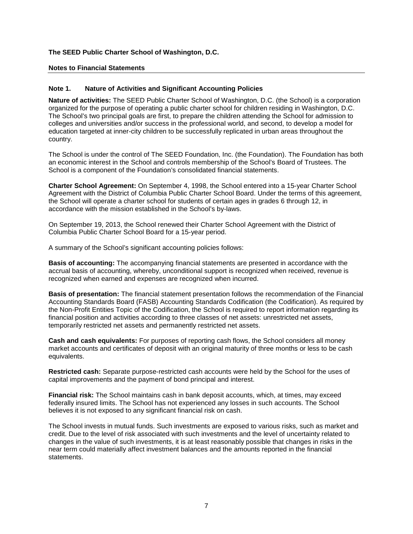#### **Notes to Financial Statements**

#### **Note 1. Nature of Activities and Significant Accounting Policies**

**Nature of activities:** The SEED Public Charter School of Washington, D.C. (the School) is a corporation organized for the purpose of operating a public charter school for children residing in Washington, D.C. The School's two principal goals are first, to prepare the children attending the School for admission to colleges and universities and/or success in the professional world, and second, to develop a model for education targeted at inner-city children to be successfully replicated in urban areas throughout the country.

The School is under the control of The SEED Foundation, Inc. (the Foundation). The Foundation has both an economic interest in the School and controls membership of the School's Board of Trustees. The School is a component of the Foundation's consolidated financial statements.

**Charter School Agreement:** On September 4, 1998, the School entered into a 15-year Charter School Agreement with the District of Columbia Public Charter School Board. Under the terms of this agreement, the School will operate a charter school for students of certain ages in grades 6 through 12, in accordance with the mission established in the School's by-laws.

On September 19, 2013, the School renewed their Charter School Agreement with the District of Columbia Public Charter School Board for a 15-year period.

A summary of the School's significant accounting policies follows:

**Basis of accounting:** The accompanying financial statements are presented in accordance with the accrual basis of accounting, whereby, unconditional support is recognized when received, revenue is recognized when earned and expenses are recognized when incurred.

**Basis of presentation:** The financial statement presentation follows the recommendation of the Financial Accounting Standards Board (FASB) Accounting Standards Codification (the Codification). As required by the Non-Profit Entities Topic of the Codification, the School is required to report information regarding its financial position and activities according to three classes of net assets: unrestricted net assets, temporarily restricted net assets and permanently restricted net assets.

**Cash and cash equivalents:** For purposes of reporting cash flows, the School considers all money market accounts and certificates of deposit with an original maturity of three months or less to be cash equivalents.

**Restricted cash:** Separate purpose-restricted cash accounts were held by the School for the uses of capital improvements and the payment of bond principal and interest.

**Financial risk:** The School maintains cash in bank deposit accounts, which, at times, may exceed federally insured limits. The School has not experienced any losses in such accounts. The School believes it is not exposed to any significant financial risk on cash.

The School invests in mutual funds. Such investments are exposed to various risks, such as market and credit. Due to the level of risk associated with such investments and the level of uncertainty related to changes in the value of such investments, it is at least reasonably possible that changes in risks in the near term could materially affect investment balances and the amounts reported in the financial statements.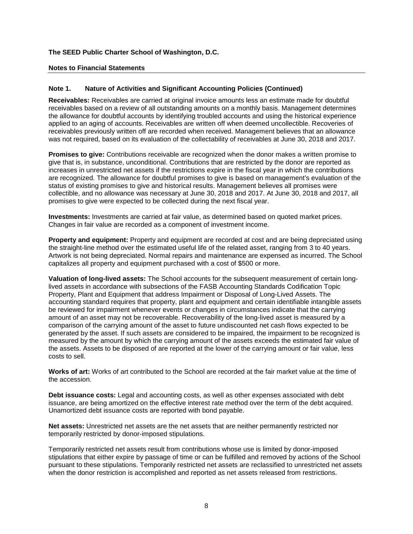#### **Notes to Financial Statements**

#### **Note 1. Nature of Activities and Significant Accounting Policies (Continued)**

**Receivables:** Receivables are carried at original invoice amounts less an estimate made for doubtful receivables based on a review of all outstanding amounts on a monthly basis. Management determines the allowance for doubtful accounts by identifying troubled accounts and using the historical experience applied to an aging of accounts. Receivables are written off when deemed uncollectible. Recoveries of receivables previously written off are recorded when received. Management believes that an allowance was not required, based on its evaluation of the collectability of receivables at June 30, 2018 and 2017.

**Promises to give:** Contributions receivable are recognized when the donor makes a written promise to give that is, in substance, unconditional. Contributions that are restricted by the donor are reported as increases in unrestricted net assets if the restrictions expire in the fiscal year in which the contributions are recognized. The allowance for doubtful promises to give is based on management's evaluation of the status of existing promises to give and historical results. Management believes all promises were collectible, and no allowance was necessary at June 30, 2018 and 2017. At June 30, 2018 and 2017, all promises to give were expected to be collected during the next fiscal year.

**Investments:** Investments are carried at fair value, as determined based on quoted market prices. Changes in fair value are recorded as a component of investment income.

**Property and equipment:** Property and equipment are recorded at cost and are being depreciated using the straight-line method over the estimated useful life of the related asset, ranging from 3 to 40 years. Artwork is not being depreciated. Normal repairs and maintenance are expensed as incurred. The School capitalizes all property and equipment purchased with a cost of \$500 or more.

**Valuation of long-lived assets:** The School accounts for the subsequent measurement of certain longlived assets in accordance with subsections of the FASB Accounting Standards Codification Topic Property, Plant and Equipment that address Impairment or Disposal of Long-Lived Assets. The accounting standard requires that property, plant and equipment and certain identifiable intangible assets be reviewed for impairment whenever events or changes in circumstances indicate that the carrying amount of an asset may not be recoverable. Recoverability of the long-lived asset is measured by a comparison of the carrying amount of the asset to future undiscounted net cash flows expected to be generated by the asset. If such assets are considered to be impaired, the impairment to be recognized is measured by the amount by which the carrying amount of the assets exceeds the estimated fair value of the assets. Assets to be disposed of are reported at the lower of the carrying amount or fair value, less costs to sell.

**Works of art:** Works of art contributed to the School are recorded at the fair market value at the time of the accession.

**Debt issuance costs:** Legal and accounting costs, as well as other expenses associated with debt issuance, are being amortized on the effective interest rate method over the term of the debt acquired. Unamortized debt issuance costs are reported with bond payable.

**Net assets:** Unrestricted net assets are the net assets that are neither permanently restricted nor temporarily restricted by donor-imposed stipulations.

Temporarily restricted net assets result from contributions whose use is limited by donor-imposed stipulations that either expire by passage of time or can be fulfilled and removed by actions of the School pursuant to these stipulations. Temporarily restricted net assets are reclassified to unrestricted net assets when the donor restriction is accomplished and reported as net assets released from restrictions.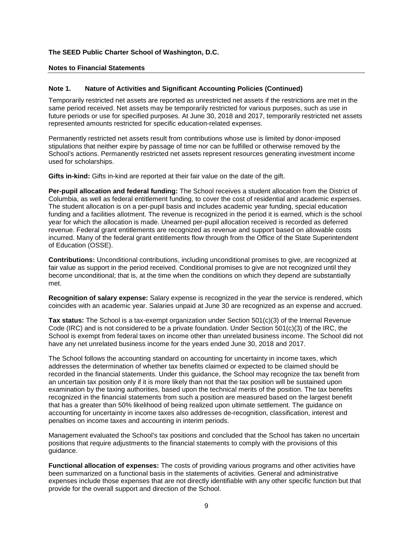#### **Notes to Financial Statements**

#### **Note 1. Nature of Activities and Significant Accounting Policies (Continued)**

Temporarily restricted net assets are reported as unrestricted net assets if the restrictions are met in the same period received. Net assets may be temporarily restricted for various purposes, such as use in future periods or use for specified purposes. At June 30, 2018 and 2017, temporarily restricted net assets represented amounts restricted for specific education-related expenses.

Permanently restricted net assets result from contributions whose use is limited by donor-imposed stipulations that neither expire by passage of time nor can be fulfilled or otherwise removed by the School's actions. Permanently restricted net assets represent resources generating investment income used for scholarships.

**Gifts in-kind:** Gifts in-kind are reported at their fair value on the date of the gift.

**Per-pupil allocation and federal funding:** The School receives a student allocation from the District of Columbia, as well as federal entitlement funding, to cover the cost of residential and academic expenses. The student allocation is on a per-pupil basis and includes academic year funding, special education funding and a facilities allotment. The revenue is recognized in the period it is earned, which is the school year for which the allocation is made. Unearned per-pupil allocation received is recorded as deferred revenue. Federal grant entitlements are recognized as revenue and support based on allowable costs incurred. Many of the federal grant entitlements flow through from the Office of the State Superintendent of Education (OSSE).

**Contributions:** Unconditional contributions, including unconditional promises to give, are recognized at fair value as support in the period received. Conditional promises to give are not recognized until they become unconditional; that is, at the time when the conditions on which they depend are substantially met.

**Recognition of salary expense:** Salary expense is recognized in the year the service is rendered, which coincides with an academic year. Salaries unpaid at June 30 are recognized as an expense and accrued.

**Tax status:** The School is a tax-exempt organization under Section 501(c)(3) of the Internal Revenue Code (IRC) and is not considered to be a private foundation. Under Section 501(c)(3) of the IRC, the School is exempt from federal taxes on income other than unrelated business income. The School did not have any net unrelated business income for the years ended June 30, 2018 and 2017.

The School follows the accounting standard on accounting for uncertainty in income taxes, which addresses the determination of whether tax benefits claimed or expected to be claimed should be recorded in the financial statements. Under this guidance, the School may recognize the tax benefit from an uncertain tax position only if it is more likely than not that the tax position will be sustained upon examination by the taxing authorities, based upon the technical merits of the position. The tax benefits recognized in the financial statements from such a position are measured based on the largest benefit that has a greater than 50% likelihood of being realized upon ultimate settlement. The guidance on accounting for uncertainty in income taxes also addresses de-recognition, classification, interest and penalties on income taxes and accounting in interim periods.

Management evaluated the School's tax positions and concluded that the School has taken no uncertain positions that require adjustments to the financial statements to comply with the provisions of this guidance.

**Functional allocation of expenses:** The costs of providing various programs and other activities have been summarized on a functional basis in the statements of activities. General and administrative expenses include those expenses that are not directly identifiable with any other specific function but that provide for the overall support and direction of the School.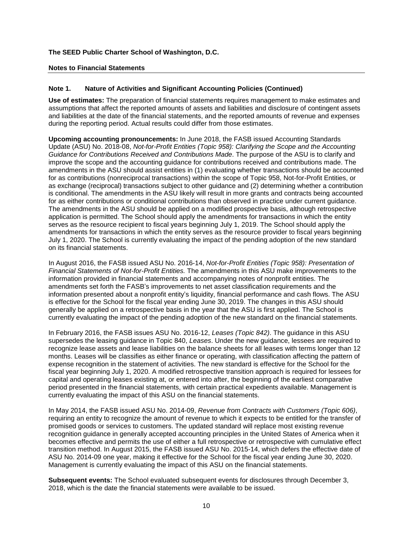#### **Notes to Financial Statements**

#### **Note 1. Nature of Activities and Significant Accounting Policies (Continued)**

**Use of estimates:** The preparation of financial statements requires management to make estimates and assumptions that affect the reported amounts of assets and liabilities and disclosure of contingent assets and liabilities at the date of the financial statements, and the reported amounts of revenue and expenses during the reporting period. Actual results could differ from those estimates.

**Upcoming accounting pronouncements:** In June 2018, the FASB issued Accounting Standards Update (ASU) No. 2018-08, *Not-for-Profit Entities (Topic 958): Clarifying the Scope and the Accounting Guidance for Contributions Received and Contributions Made*. The purpose of the ASU is to clarify and improve the scope and the accounting guidance for contributions received and contributions made. The amendments in the ASU should assist entities in (1) evaluating whether transactions should be accounted for as contributions (nonreciprocal transactions) within the scope of Topic 958, Not-for-Profit Entities, or as exchange (reciprocal) transactions subject to other guidance and (2) determining whether a contribution is conditional. The amendments in the ASU likely will result in more grants and contracts being accounted for as either contributions or conditional contributions than observed in practice under current guidance. The amendments in the ASU should be applied on a modified prospective basis, although retrospective application is permitted. The School should apply the amendments for transactions in which the entity serves as the resource recipient to fiscal years beginning July 1, 2019. The School should apply the amendments for transactions in which the entity serves as the resource provider to fiscal years beginning July 1, 2020. The School is currently evaluating the impact of the pending adoption of the new standard on its financial statements.

In August 2016, the FASB issued ASU No. 2016-14, *Not-for-Profit Entities (Topic 958): Presentation of Financial Statements of Not-for-Profit Entities.* The amendments in this ASU make improvements to the information provided in financial statements and accompanying notes of nonprofit entities. The amendments set forth the FASB's improvements to net asset classification requirements and the information presented about a nonprofit entity's liquidity, financial performance and cash flows. The ASU is effective for the School for the fiscal year ending June 30, 2019. The changes in this ASU should generally be applied on a retrospective basis in the year that the ASU is first applied. The School is currently evaluating the impact of the pending adoption of the new standard on the financial statements.

In February 2016, the FASB issues ASU No. 2016-12, *Leases (Topic 842)*. The guidance in this ASU supersedes the leasing guidance in Topic 840, *Leases*. Under the new guidance, lessees are required to recognize lease assets and lease liabilities on the balance sheets for all leases with terms longer than 12 months. Leases will be classifies as either finance or operating, with classification affecting the pattern of expense recognition in the statement of activities. The new standard is effective for the School for the fiscal year beginning July 1, 2020. A modified retrospective transition approach is required for lessees for capital and operating leases existing at, or entered into after, the beginning of the earliest comparative period presented in the financial statements, with certain practical expedients available. Management is currently evaluating the impact of this ASU on the financial statements.

In May 2014, the FASB issued ASU No. 2014-09, *Revenue from Contracts with Customers (Topic 606)*, requiring an entity to recognize the amount of revenue to which it expects to be entitled for the transfer of promised goods or services to customers. The updated standard will replace most existing revenue recognition guidance in generally accepted accounting principles in the United States of America when it becomes effective and permits the use of either a full retrospective or retrospective with cumulative effect transition method. In August 2015, the FASB issued ASU No. 2015-14, which defers the effective date of ASU No. 2014-09 one year, making it effective for the School for the fiscal year ending June 30, 2020. Management is currently evaluating the impact of this ASU on the financial statements.

**Subsequent events:** The School evaluated subsequent events for disclosures through December 3, 2018, which is the date the financial statements were available to be issued.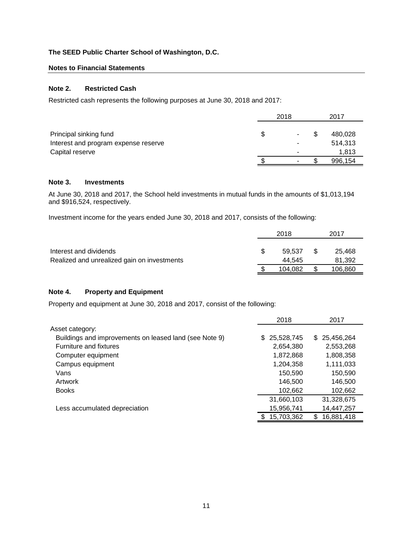#### **Notes to Financial Statements**

#### **Note 2. Restricted Cash**

Restricted cash represents the following purposes at June 30, 2018 and 2017:

|                                      |   | 2018 | 2017    |  |
|--------------------------------------|---|------|---------|--|
| Principal sinking fund               | S | ۰    | 480,028 |  |
| Interest and program expense reserve |   |      | 514,313 |  |
| Capital reserve                      |   |      | 1,813   |  |
|                                      |   |      | 996,154 |  |

#### **Note 3. Investments**

At June 30, 2018 and 2017, the School held investments in mutual funds in the amounts of \$1,013,194 and \$916,524, respectively.

Investment income for the years ended June 30, 2018 and 2017, consists of the following:

|                                                                       | 2018 |                  |  | 2017             |
|-----------------------------------------------------------------------|------|------------------|--|------------------|
| Interest and dividends<br>Realized and unrealized gain on investments |      | 59.537<br>44.545 |  | 25.468<br>81,392 |
|                                                                       |      | 104.082          |  | 106,860          |

# **Note 4. Property and Equipment**

Property and equipment at June 30, 2018 and 2017, consist of the following:

|                                                        | 2018             | 2017            |
|--------------------------------------------------------|------------------|-----------------|
| Asset category:                                        |                  |                 |
| Buildings and improvements on leased land (see Note 9) | 25,528,745<br>S. | \$ 25,456,264   |
| <b>Furniture and fixtures</b>                          | 2,654,380        | 2,553,268       |
| Computer equipment                                     | 1,872,868        | 1,808,358       |
| Campus equipment                                       | 1,204,358        | 1,111,033       |
| Vans                                                   | 150,590          | 150,590         |
| Artwork                                                | 146,500          | 146,500         |
| <b>Books</b>                                           | 102,662          | 102,662         |
|                                                        | 31,660,103       | 31,328,675      |
| Less accumulated depreciation                          | 15,956,741       | 14,447,257      |
|                                                        | 15,703,362       | 16,881,418<br>S |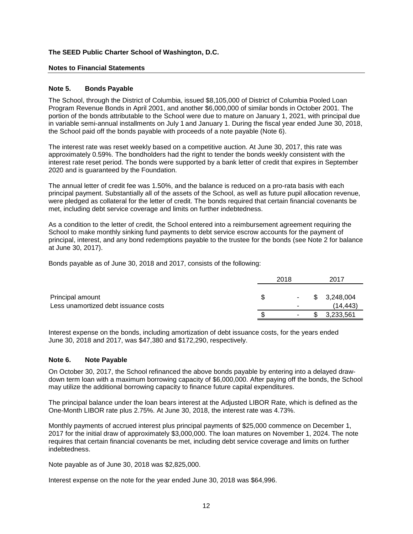#### **Notes to Financial Statements**

#### **Note 5. Bonds Payable**

The School, through the District of Columbia, issued \$8,105,000 of District of Columbia Pooled Loan Program Revenue Bonds in April 2001, and another \$6,000,000 of similar bonds in October 2001. The portion of the bonds attributable to the School were due to mature on January 1, 2021, with principal due in variable semi-annual installments on July 1 and January 1. During the fiscal year ended June 30, 2018, the School paid off the bonds payable with proceeds of a note payable (Note 6).

The interest rate was reset weekly based on a competitive auction. At June 30, 2017, this rate was approximately 0.59%. The bondholders had the right to tender the bonds weekly consistent with the interest rate reset period. The bonds were supported by a bank letter of credit that expires in September 2020 and is guaranteed by the Foundation.

The annual letter of credit fee was 1.50%, and the balance is reduced on a pro-rata basis with each principal payment. Substantially all of the assets of the School, as well as future pupil allocation revenue, were pledged as collateral for the letter of credit. The bonds required that certain financial covenants be met, including debt service coverage and limits on further indebtedness.

As a condition to the letter of credit, the School entered into a reimbursement agreement requiring the School to make monthly sinking fund payments to debt service escrow accounts for the payment of principal, interest, and any bond redemptions payable to the trustee for the bonds (see Note 2 for balance at June 30, 2017).

Bonds payable as of June 30, 2018 and 2017, consists of the following:

|                                                          | 2018 |                                        |  | 2017                    |
|----------------------------------------------------------|------|----------------------------------------|--|-------------------------|
| Principal amount<br>Less unamortized debt issuance costs | S    | $\sim 100$<br>$\overline{\phantom{a}}$ |  | \$3,248,004<br>(14,443) |
|                                                          | c    | ۰                                      |  | 3,233,561               |

Interest expense on the bonds, including amortization of debt issuance costs, for the years ended June 30, 2018 and 2017, was \$47,380 and \$172,290, respectively.

#### **Note 6. Note Payable**

On October 30, 2017, the School refinanced the above bonds payable by entering into a delayed drawdown term loan with a maximum borrowing capacity of \$6,000,000. After paying off the bonds, the School may utilize the additional borrowing capacity to finance future capital expenditures.

The principal balance under the loan bears interest at the Adjusted LIBOR Rate, which is defined as the One-Month LIBOR rate plus 2.75%. At June 30, 2018, the interest rate was 4.73%.

Monthly payments of accrued interest plus principal payments of \$25,000 commence on December 1, 2017 for the initial draw of approximately \$3,000,000. The loan matures on November 1, 2024. The note requires that certain financial covenants be met, including debt service coverage and limits on further indebtedness.

Note payable as of June 30, 2018 was \$2,825,000.

Interest expense on the note for the year ended June 30, 2018 was \$64,996.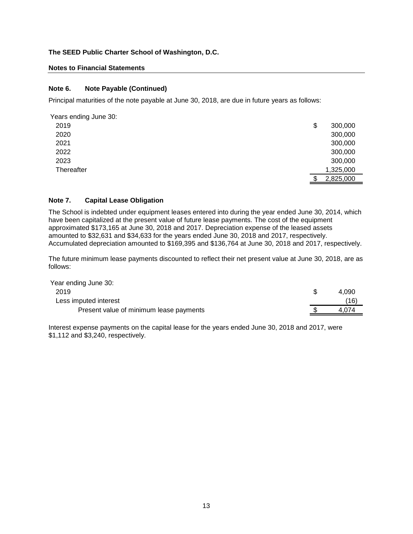#### **Notes to Financial Statements**

#### **Note 6. Note Payable (Continued)**

Principal maturities of the note payable at June 30, 2018, are due in future years as follows:

| 2019       | \$<br>300,000 |
|------------|---------------|
| 2020       | 300,000       |
| 2021       | 300,000       |
| 2022       | 300,000       |
| 2023       | 300,000       |
| Thereafter | 1,325,000     |
|            | 2,825,000     |

#### **Note 7. Capital Lease Obligation**

The School is indebted under equipment leases entered into during the year ended June 30, 2014, which have been capitalized at the present value of future lease payments. The cost of the equipment approximated \$173,165 at June 30, 2018 and 2017. Depreciation expense of the leased assets amounted to \$32,631 and \$34,633 for the years ended June 30, 2018 and 2017, respectively. Accumulated depreciation amounted to \$169,395 and \$136,764 at June 30, 2018 and 2017, respectively.

The future minimum lease payments discounted to reflect their net present value at June 30, 2018, are as follows:

| Year ending June 30:                    |       |
|-----------------------------------------|-------|
| 2019                                    | 4.090 |
| Less imputed interest                   | (16)  |
| Present value of minimum lease payments | 4.074 |

Interest expense payments on the capital lease for the years ended June 30, 2018 and 2017, were \$1,112 and \$3,240, respectively.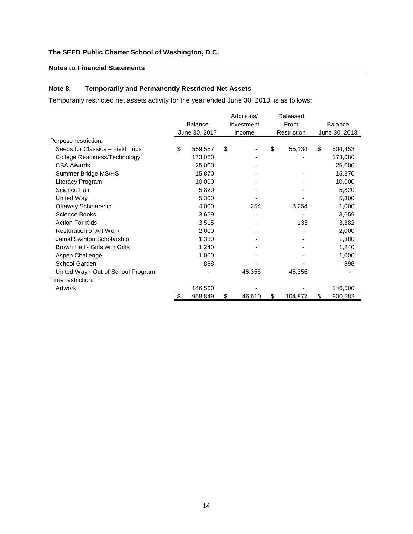# **Notes to Financial Statements**

# **Note 8. Temporarily and Permanently Restricted Net Assets**

Temporarily restricted net assets activity for the year ended June 30, 2018, is as follows:

|                                    |                |               |            | Additions/ |      | Released    |         |               |
|------------------------------------|----------------|---------------|------------|------------|------|-------------|---------|---------------|
|                                    | <b>Balance</b> |               | Investment |            | From |             | Balance |               |
|                                    |                | June 30, 2017 |            | Income     |      | Restriction |         | June 30, 2018 |
| Purpose restriction:               |                |               |            |            |      |             |         |               |
| Seeds for Classics - Field Trips   | \$             | 559,587       | \$         |            | \$   | 55,134      | \$      | 504,453       |
| College Readiness/Technology       |                | 173,080       |            |            |      |             |         | 173,080       |
| <b>CBA Awards</b>                  |                | 25,000        |            |            |      |             |         | 25,000        |
| Summer Bridge MS/HS                |                | 15,870        |            |            |      |             |         | 15,870        |
| Literacy Program                   |                | 10,000        |            |            |      |             |         | 10,000        |
| Science Fair                       | 5,820          |               |            |            |      |             |         | 5,820         |
| United Way                         | 5,300          |               |            |            |      |             |         | 5,300         |
| Ottaway Scholarship                | 4,000          |               |            | 254        |      | 3,254       |         | 1,000         |
| Science Books                      |                | 3,659         |            |            |      |             |         | 3,659         |
| <b>Action For Kids</b>             |                | 3,515         |            |            |      | 133         |         | 3,382         |
| <b>Restoration of Art Work</b>     |                | 2,000         |            |            |      |             |         | 2,000         |
| Jamal Swinton Scholarship          |                | 1,380         |            |            |      |             |         | 1,380         |
| Brown Hall - Girls with Gifts      |                | 1,240         |            |            |      |             |         | 1,240         |
| Aspen Challenge                    |                | 1,000         |            |            |      |             |         | 1,000         |
| School Garden                      |                | 898           |            |            |      |             |         | 898           |
| United Way - Out of School Program |                |               |            | 46,356     |      | 46,356      |         |               |
| Time restriction:                  |                |               |            |            |      |             |         |               |
| Artwork                            |                | 146,500       |            |            |      |             |         | 146,500       |
|                                    | \$             | 958,849       | \$         | 46,610     | \$   | 104,877     | \$      | 900,582       |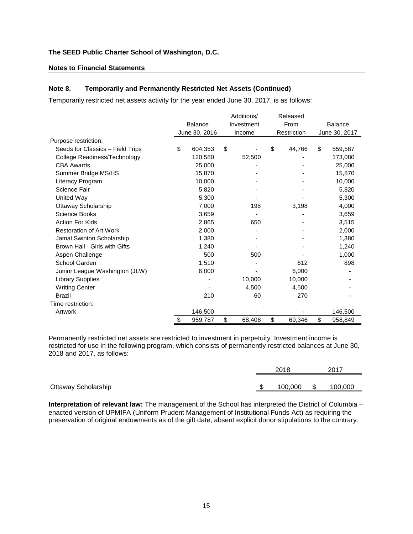#### **Notes to Financial Statements**

#### **Note 8. Temporarily and Permanently Restricted Net Assets (Continued)**

Temporarily restricted net assets activity for the year ended June 30, 2017, is as follows:

|                                  | Additions/     |        |            |             | Released |    |                |
|----------------------------------|----------------|--------|------------|-------------|----------|----|----------------|
|                                  | <b>Balance</b> |        | Investment |             | From     |    | <b>Balance</b> |
|                                  | June 30, 2016  | Income |            | Restriction |          |    | June 30, 2017  |
| Purpose restriction:             |                |        |            |             |          |    |                |
| Seeds for Classics - Field Trips | \$<br>604,353  | \$     |            | \$          | 44,766   | \$ | 559,587        |
| College Readiness/Technology     | 120,580        | 52,500 |            |             |          |    | 173,080        |
| <b>CBA Awards</b>                | 25,000         |        |            |             |          |    | 25,000         |
| Summer Bridge MS/HS              | 15,870         |        |            |             |          |    | 15,870         |
| Literacy Program                 | 10,000         |        |            |             |          |    | 10,000         |
| Science Fair                     | 5,820          |        |            |             |          |    | 5,820          |
| United Way                       | 5,300          |        |            |             |          |    | 5,300          |
| Ottaway Scholarship              | 7,000          |        | 198        |             | 3,198    |    | 4,000          |
| Science Books                    | 3,659          |        |            |             |          |    | 3,659          |
| <b>Action For Kids</b>           | 2,865          | 650    |            |             |          |    | 3,515          |
| <b>Restoration of Art Work</b>   | 2,000          |        |            |             |          |    | 2,000          |
| Jamal Swinton Scholarship        | 1,380          |        |            |             |          |    | 1,380          |
| Brown Hall - Girls with Gifts    | 1,240          |        |            |             |          |    | 1,240          |
| Aspen Challenge                  | 500            |        | 500        |             |          |    | 1,000          |
| School Garden                    | 1,510          |        |            | 612         |          |    | 898            |
| Junior League Washington (JLW)   | 6,000          |        |            |             | 6,000    |    |                |
| <b>Library Supplies</b>          |                |        | 10,000     |             | 10,000   |    |                |
| <b>Writing Center</b>            |                |        | 4,500      | 4,500       |          |    |                |
| <b>Brazil</b>                    | 210            | 60     |            | 270         |          |    |                |
| Time restriction:                |                |        |            |             |          |    |                |
| Artwork                          | 146,500        |        |            |             |          |    | 146,500        |
|                                  | \$<br>959,787  | \$     | 68,408     | \$          | 69,346   | \$ | 958,849        |

Permanently restricted net assets are restricted to investment in perpetuity. Investment income is restricted for use in the following program, which consists of permanently restricted balances at June 30, 2018 and 2017, as follows:

|                     | 2018    |    | 2017    |
|---------------------|---------|----|---------|
|                     |         |    |         |
| Ottaway Scholarship | 100.000 | S. | 100,000 |

**Interpretation of relevant law:** The management of the School has interpreted the District of Columbia – enacted version of UPMIFA (Uniform Prudent Management of Institutional Funds Act) as requiring the preservation of original endowments as of the gift date, absent explicit donor stipulations to the contrary.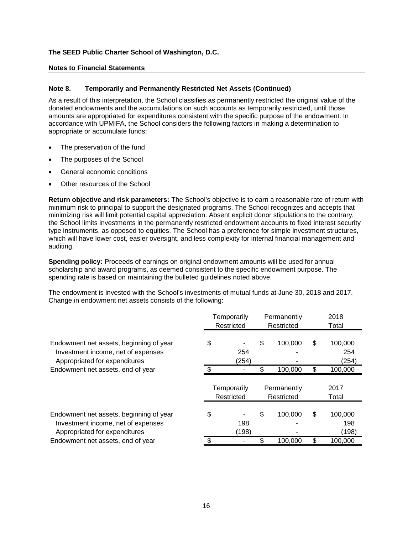#### **Notes to Financial Statements**

#### **Note 8. Temporarily and Permanently Restricted Net Assets (Continued)**

As a result of this interpretation, the School classifies as permanently restricted the original value of the donated endowments and the accumulations on such accounts as temporarily restricted, until those amounts are appropriated for expenditures consistent with the specific purpose of the endowment. In accordance with UPMIFA, the School considers the following factors in making a determination to appropriate or accumulate funds:

- The preservation of the fund
- The purposes of the School
- General economic conditions
- Other resources of the School

**Return objective and risk parameters:** The School's objective is to earn a reasonable rate of return with minimum risk to principal to support the designated programs. The School recognizes and accepts that minimizing risk will limit potential capital appreciation. Absent explicit donor stipulations to the contrary, the School limits investments in the permanently restricted endowment accounts to fixed interest security type instruments, as opposed to equities. The School has a preference for simple investment structures, which will have lower cost, easier oversight, and less complexity for internal financial management and auditing.

**Spending policy:** Proceeds of earnings on original endowment amounts will be used for annual scholarship and award programs, as deemed consistent to the specific endowment purpose. The spending rate is based on maintaining the bulleted guidelines noted above.

The endowment is invested with the School's investments of mutual funds at June 30, 2018 and 2017. Change in endowment net assets consists of the following:

|                                         | Temporarily<br>Restricted |                          | Permanently<br>Restricted |            |    | 2018<br>Total |
|-----------------------------------------|---------------------------|--------------------------|---------------------------|------------|----|---------------|
|                                         |                           |                          |                           |            |    |               |
| Endowment net assets, beginning of year | \$                        |                          | \$                        | 100,000    | S  | 100,000       |
| Investment income, net of expenses      |                           | 254                      |                           |            |    | 254           |
| Appropriated for expenditures           |                           | (254)                    |                           |            |    | (254)         |
| Endowment net assets, end of year       |                           |                          |                           | 100,000    |    | 100,000       |
|                                         |                           |                          |                           |            |    |               |
|                                         | Temporarily               |                          | Permanently               |            |    | 2017          |
|                                         |                           | Restricted               |                           | Restricted |    | Total         |
|                                         |                           |                          |                           |            |    |               |
| Endowment net assets, beginning of year | \$                        | $\overline{\phantom{a}}$ | \$                        | 100,000    | \$ | 100,000       |
| Investment income, net of expenses      |                           | 198                      |                           |            |    | 198           |
| Appropriated for expenditures           |                           | (198)                    |                           |            |    | (198)         |
| Endowment net assets, end of year       |                           |                          |                           | 100.000    | \$ | 100,000       |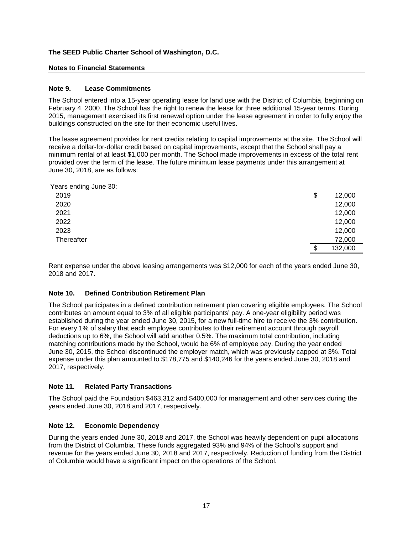#### **Notes to Financial Statements**

#### **Note 9. Lease Commitments**

The School entered into a 15-year operating lease for land use with the District of Columbia, beginning on February 4, 2000. The School has the right to renew the lease for three additional 15-year terms. During 2015, management exercised its first renewal option under the lease agreement in order to fully enjoy the buildings constructed on the site for their economic useful lives.

The lease agreement provides for rent credits relating to capital improvements at the site. The School will receive a dollar-for-dollar credit based on capital improvements, except that the School shall pay a minimum rental of at least \$1,000 per month. The School made improvements in excess of the total rent provided over the term of the lease. The future minimum lease payments under this arrangement at June 30, 2018, are as follows:

| Years ending June 30: |               |
|-----------------------|---------------|
| 2019                  | \$<br>12,000  |
| 2020                  | 12,000        |
| 2021                  | 12,000        |
| 2022                  | 12,000        |
| 2023                  | 12,000        |
| Thereafter            | 72,000        |
|                       | \$<br>132,000 |

Rent expense under the above leasing arrangements was \$12,000 for each of the years ended June 30, 2018 and 2017.

# **Note 10. Defined Contribution Retirement Plan**

The School participates in a defined contribution retirement plan covering eligible employees. The School contributes an amount equal to 3% of all eligible participants' pay. A one-year eligibility period was established during the year ended June 30, 2015, for a new full-time hire to receive the 3% contribution. For every 1% of salary that each employee contributes to their retirement account through payroll deductions up to 6%, the School will add another 0.5%. The maximum total contribution, including matching contributions made by the School, would be 6% of employee pay. During the year ended June 30, 2015, the School discontinued the employer match, which was previously capped at 3%. Total expense under this plan amounted to \$178,775 and \$140,246 for the years ended June 30, 2018 and 2017, respectively.

#### **Note 11. Related Party Transactions**

The School paid the Foundation \$463,312 and \$400,000 for management and other services during the years ended June 30, 2018 and 2017, respectively.

#### **Note 12. Economic Dependency**

During the years ended June 30, 2018 and 2017, the School was heavily dependent on pupil allocations from the District of Columbia. These funds aggregated 93% and 94% of the School's support and revenue for the years ended June 30, 2018 and 2017, respectively. Reduction of funding from the District of Columbia would have a significant impact on the operations of the School.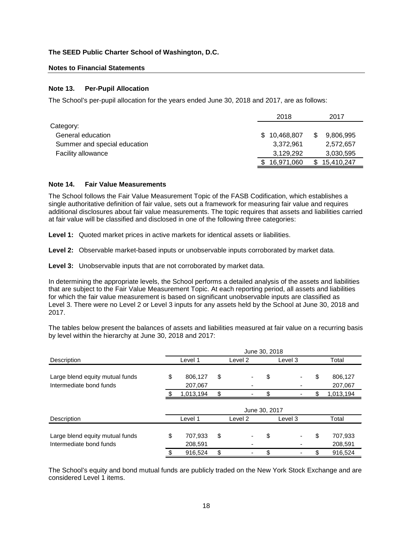#### **Notes to Financial Statements**

## **Note 13. Per-Pupil Allocation**

The School's per-pupil allocation for the years ended June 30, 2018 and 2017, are as follows:

|                              | 2018              | 2017       |
|------------------------------|-------------------|------------|
| Category:                    |                   |            |
| General education            | 10,468,807<br>\$. | 9,806,995  |
| Summer and special education | 3,372,961         | 2,572,657  |
| <b>Facility allowance</b>    | 3,129,292         | 3,030,595  |
|                              | 16,971,060        | 15,410,247 |

#### **Note 14. Fair Value Measurements**

The School follows the Fair Value Measurement Topic of the FASB Codification, which establishes a single authoritative definition of fair value, sets out a framework for measuring fair value and requires additional disclosures about fair value measurements. The topic requires that assets and liabilities carried at fair value will be classified and disclosed in one of the following three categories:

**Level 1:** Quoted market prices in active markets for identical assets or liabilities.

**Level 2:** Observable market-based inputs or unobservable inputs corroborated by market data.

**Level 3:** Unobservable inputs that are not corroborated by market data.

In determining the appropriate levels, the School performs a detailed analysis of the assets and liabilities that are subject to the Fair Value Measurement Topic. At each reporting period, all assets and liabilities for which the fair value measurement is based on significant unobservable inputs are classified as Level 3. There were no Level 2 or Level 3 inputs for any assets held by the School at June 30, 2018 and 2017.

The tables below present the balances of assets and liabilities measured at fair value on a recurring basis by level within the hierarchy at June 30, 2018 and 2017:

|                                 | June 30, 2018 |               |    |         |         |         |    |           |  |
|---------------------------------|---------------|---------------|----|---------|---------|---------|----|-----------|--|
| Description                     |               | Level 1       |    | Level 2 | Level 3 |         |    | Total     |  |
|                                 |               |               |    |         |         |         |    |           |  |
| Large blend equity mutual funds | \$            | 806,127       | \$ |         | \$      |         | \$ | 806,127   |  |
| Intermediate bond funds         |               | 207,067       |    | ٠       |         |         |    | 207,067   |  |
|                                 |               | 1,013,194     | \$ |         | \$.     |         |    | 1,013,194 |  |
|                                 |               |               |    |         |         |         |    |           |  |
|                                 |               | June 30, 2017 |    |         |         |         |    |           |  |
| Description                     |               | Level 1       |    | Level 2 |         | Level 3 |    | Total     |  |
|                                 |               |               |    |         |         |         |    |           |  |
| Large blend equity mutual funds | \$            | 707,933       | \$ |         | \$      |         | \$ | 707,933   |  |
| Intermediate bond funds         |               | 208,591       |    | ٠       |         |         |    | 208,591   |  |
|                                 |               | 916,524       | \$ |         | \$      |         | \$ | 916,524   |  |

The School's equity and bond mutual funds are publicly traded on the New York Stock Exchange and are considered Level 1 items.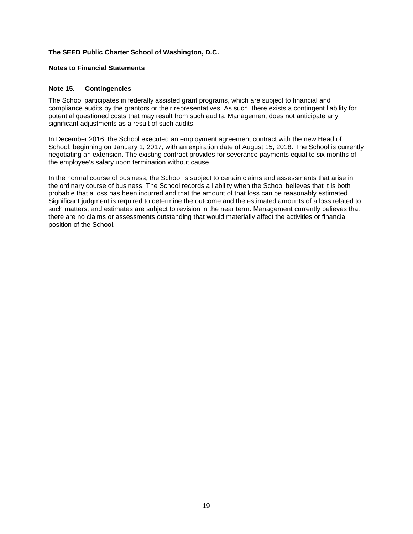#### **Notes to Financial Statements**

#### **Note 15. Contingencies**

The School participates in federally assisted grant programs, which are subject to financial and compliance audits by the grantors or their representatives. As such, there exists a contingent liability for potential questioned costs that may result from such audits. Management does not anticipate any significant adjustments as a result of such audits.

In December 2016, the School executed an employment agreement contract with the new Head of School, beginning on January 1, 2017, with an expiration date of August 15, 2018. The School is currently negotiating an extension. The existing contract provides for severance payments equal to six months of the employee's salary upon termination without cause.

In the normal course of business, the School is subject to certain claims and assessments that arise in the ordinary course of business. The School records a liability when the School believes that it is both probable that a loss has been incurred and that the amount of that loss can be reasonably estimated. Significant judgment is required to determine the outcome and the estimated amounts of a loss related to such matters, and estimates are subject to revision in the near term. Management currently believes that there are no claims or assessments outstanding that would materially affect the activities or financial position of the School.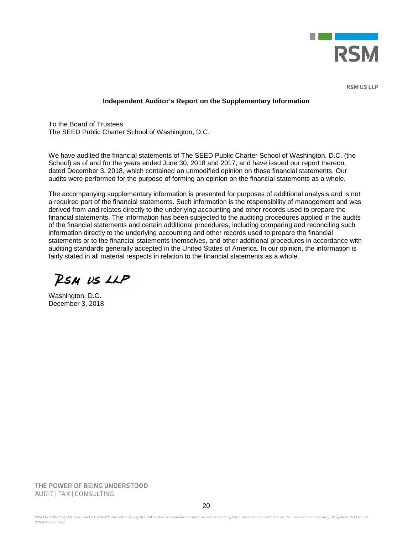

**RSM US LLP** 

#### **Independent Auditor's Report on the Supplementary Information**

To the Board of Trustees The SEED Public Charter School of Washington, D.C.

We have audited the financial statements of The SEED Public Charter School of Washington, D.C. (the School) as of and for the years ended June 30, 2018 and 2017, and have issued our report thereon, dated December 3, 2018, which contained an unmodified opinion on those financial statements. Our audits were performed for the purpose of forming an opinion on the financial statements as a whole.

The accompanying supplementary information is presented for purposes of additional analysis and is not a required part of the financial statements. Such information is the responsibility of management and was derived from and relates directly to the underlying accounting and other records used to prepare the financial statements. The information has been subjected to the auditing procedures applied in the audits of the financial statements and certain additional procedures, including comparing and reconciling such information directly to the underlying accounting and other records used to prepare the financial statements or to the financial statements themselves, and other additional procedures in accordance with auditing standards generally accepted in the United States of America. In our opinion, the information is fairly stated in all material respects in relation to the financial statements as a whole.

RSM US LLP

Washington, D.C. December 3, 2018

THE POWER OF BEING UNDERSTOOD AUDIT | TAX | CONSULTING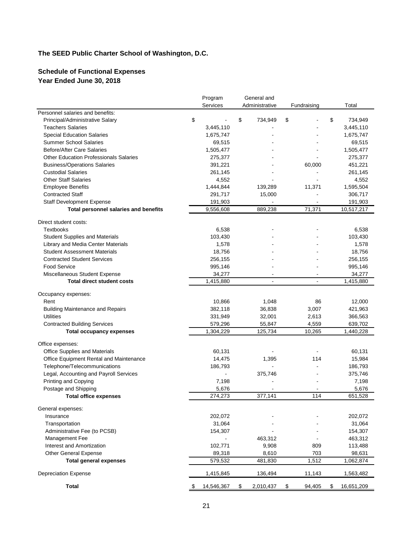# **Schedule of Functional Expenses Year Ended June 30, 2018**

|                                               |    | Program    | General and |                |                       |    |            |
|-----------------------------------------------|----|------------|-------------|----------------|-----------------------|----|------------|
|                                               |    | Services   |             | Administrative | Fundraising           |    | Total      |
| Personnel salaries and benefits:              |    |            |             |                |                       |    |            |
| Principal/Administrative Salary               | \$ |            | \$          | 734,949        | \$                    | \$ | 734,949    |
| <b>Teachers Salaries</b>                      |    | 3,445,110  |             |                |                       |    | 3,445,110  |
| <b>Special Education Salaries</b>             |    | 1,675,747  |             |                |                       |    | 1,675,747  |
| <b>Summer School Salaries</b>                 |    | 69,515     |             |                |                       |    | 69,515     |
| <b>Before/After Care Salaries</b>             |    | 1,505,477  |             |                |                       |    | 1,505,477  |
| <b>Other Education Professionals Salaries</b> |    | 275,377    |             |                |                       |    | 275,377    |
| <b>Business/Operations Salaries</b>           |    | 391,221    |             |                | 60,000                |    | 451,221    |
| <b>Custodial Salaries</b>                     |    | 261,145    |             |                |                       |    | 261,145    |
| <b>Other Staff Salaries</b>                   |    | 4,552      |             |                |                       |    | 4,552      |
| <b>Employee Benefits</b>                      |    | 1,444,844  |             | 139,289        | 11,371                |    | 1,595,504  |
| <b>Contracted Staff</b>                       |    | 291,717    |             | 15,000         |                       |    | 306,717    |
| <b>Staff Development Expense</b>              |    | 191,903    |             |                | $\overline{a}$        |    | 191,903    |
| Total personnel salaries and benefits         |    | 9,556,608  |             | 889,238        | 71,371                |    | 10,517,217 |
| Direct student costs:                         |    |            |             |                |                       |    |            |
| <b>Textbooks</b>                              |    | 6,538      |             |                |                       |    | 6,538      |
| <b>Student Supplies and Materials</b>         |    | 103,430    |             |                |                       |    | 103,430    |
| Library and Media Center Materials            |    | 1,578      |             |                |                       |    | 1,578      |
| <b>Student Assessment Materials</b>           |    | 18,756     |             |                |                       |    | 18,756     |
| <b>Contracted Student Services</b>            |    | 256,155    |             |                |                       |    | 256,155    |
| <b>Food Service</b>                           |    | 995,146    |             |                |                       |    | 995,146    |
| Miscellaneous Student Expense                 |    | 34,277     |             |                |                       |    | 34,277     |
| <b>Total direct student costs</b>             |    | 1,415,880  |             | ä,             | $\tilde{\phantom{a}}$ |    | 1,415,880  |
|                                               |    |            |             |                |                       |    |            |
| Occupancy expenses:                           |    |            |             |                |                       |    |            |
| Rent                                          |    | 10,866     |             | 1,048          | 86                    |    | 12,000     |
| <b>Building Maintenance and Repairs</b>       |    | 382,118    |             | 36,838         | 3,007                 |    | 421,963    |
| <b>Utilities</b>                              |    | 331,949    |             | 32,001         | 2,613                 |    | 366,563    |
| <b>Contracted Building Services</b>           |    | 579,296    |             | 55,847         | 4,559                 |    | 639,702    |
| <b>Total occupancy expenses</b>               |    | 1,304,229  |             | 125,734        | 10,265                |    | 1,440,228  |
| Office expenses:                              |    |            |             |                |                       |    |            |
| <b>Office Supplies and Materials</b>          |    | 60,131     |             |                |                       |    | 60,131     |
| Office Equipment Rental and Maintenance       |    | 14,475     |             | 1,395          | 114                   |    | 15,984     |
| Telephone/Telecommunications                  |    | 186,793    |             |                |                       |    | 186,793    |
| Legal, Accounting and Payroll Services        |    |            |             | 375,746        |                       |    | 375,746    |
| Printing and Copying                          |    | 7,198      |             |                |                       |    | 7,198      |
| Postage and Shipping                          |    | 5,676      |             |                |                       |    | 5,676      |
| <b>Total office expenses</b>                  |    | 274.273    |             | 377,141        | 114                   |    | 651,528    |
| General expenses:                             |    |            |             |                |                       |    |            |
| Insurance                                     |    | 202,072    |             |                |                       |    | 202,072    |
| Transportation                                |    | 31,064     |             |                |                       |    | 31,064     |
| Administrative Fee (to PCSB)                  |    | 154,307    |             |                |                       |    | 154,307    |
| Management Fee                                |    |            |             | 463,312        |                       |    | 463,312    |
| Interest and Amortization                     |    | 102,771    |             | 9,908          | 809                   |    | 113,488    |
| Other General Expense                         |    | 89,318     |             | 8,610          | 703                   |    | 98,631     |
| <b>Total general expenses</b>                 |    | 579,532    |             | 481,830        | 1,512                 |    | 1,062,874  |
| <b>Depreciation Expense</b>                   |    |            |             | 136,494        |                       |    |            |
|                                               |    | 1,415,845  |             |                | 11,143                |    | 1,563,482  |
| <b>Total</b>                                  | S  | 14,546,367 | \$          | 2,010,437      | \$<br>94,405          | \$ | 16,651,209 |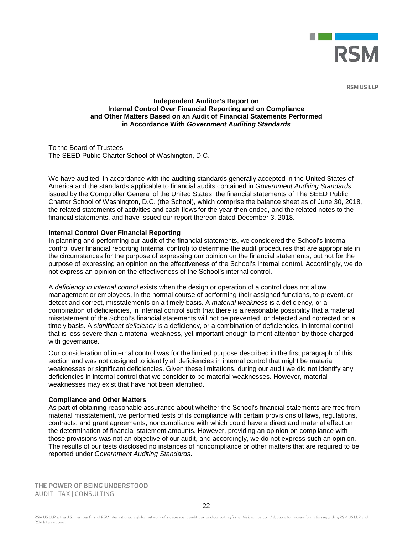

**RSM US LLP** 

#### **Independent Auditor's Report on Internal Control Over Financial Reporting and on Compliance and Other Matters Based on an Audit of Financial Statements Performed in Accordance With** *Government Auditing Standards*

To the Board of Trustees The SEED Public Charter School of Washington, D.C.

We have audited, in accordance with the auditing standards generally accepted in the United States of America and the standards applicable to financial audits contained in *Government Auditing Standards* issued by the Comptroller General of the United States, the financial statements of The SEED Public Charter School of Washington, D.C. (the School), which comprise the balance sheet as of June 30, 2018, the related statements of activities and cash flows for the year then ended, and the related notes to the financial statements, and have issued our report thereon dated December 3, 2018.

#### **Internal Control Over Financial Reporting**

In planning and performing our audit of the financial statements, we considered the School's internal control over financial reporting (internal control) to determine the audit procedures that are appropriate in the circumstances for the purpose of expressing our opinion on the financial statements, but not for the purpose of expressing an opinion on the effectiveness of the School's internal control. Accordingly, we do not express an opinion on the effectiveness of the School's internal control.

A *deficiency in internal control* exists when the design or operation of a control does not allow management or employees, in the normal course of performing their assigned functions, to prevent, or detect and correct, misstatements on a timely basis. A *material weakness* is a deficiency, or a combination of deficiencies, in internal control such that there is a reasonable possibility that a material misstatement of the School's financial statements will not be prevented, or detected and corrected on a timely basis. A *significant deficiency* is a deficiency, or a combination of deficiencies, in internal control that is less severe than a material weakness, yet important enough to merit attention by those charged with governance.

Our consideration of internal control was for the limited purpose described in the first paragraph of this section and was not designed to identify all deficiencies in internal control that might be material weaknesses or significant deficiencies. Given these limitations, during our audit we did not identify any deficiencies in internal control that we consider to be material weaknesses. However, material weaknesses may exist that have not been identified.

#### **Compliance and Other Matters**

As part of obtaining reasonable assurance about whether the School's financial statements are free from material misstatement, we performed tests of its compliance with certain provisions of laws, regulations, contracts, and grant agreements, noncompliance with which could have a direct and material effect on the determination of financial statement amounts. However, providing an opinion on compliance with those provisions was not an objective of our audit, and accordingly, we do not express such an opinion. The results of our tests disclosed no instances of noncompliance or other matters that are required to be reported under *Government Auditing Standards*.

THE POWER OF BEING UNDERSTOOD AUDIT | TAX | CONSULTING